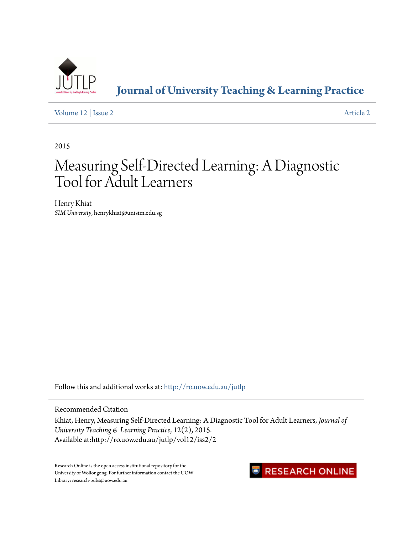

**[Journal of University Teaching & Learning Practice](http://ro.uow.edu.au/jutlp?utm_source=ro.uow.edu.au%2Fjutlp%2Fvol12%2Fiss2%2F2&utm_medium=PDF&utm_campaign=PDFCoverPages)**

[Volume 12](http://ro.uow.edu.au/jutlp/vol12?utm_source=ro.uow.edu.au%2Fjutlp%2Fvol12%2Fiss2%2F2&utm_medium=PDF&utm_campaign=PDFCoverPages) | [Issue 2](http://ro.uow.edu.au/jutlp/vol12/iss2?utm_source=ro.uow.edu.au%2Fjutlp%2Fvol12%2Fiss2%2F2&utm_medium=PDF&utm_campaign=PDFCoverPages) [Article 2](http://ro.uow.edu.au/jutlp/vol12/iss2/2?utm_source=ro.uow.edu.au%2Fjutlp%2Fvol12%2Fiss2%2F2&utm_medium=PDF&utm_campaign=PDFCoverPages)

2015

# Measuring Self-Directed Learning: A Diagnostic Tool for Adult Learners

Henry Khiat *SIM University*, henrykhiat@unisim.edu.sg

Follow this and additional works at: [http://ro.uow.edu.au/jutlp](http://ro.uow.edu.au/jutlp?utm_source=ro.uow.edu.au%2Fjutlp%2Fvol12%2Fiss2%2F2&utm_medium=PDF&utm_campaign=PDFCoverPages)

Recommended Citation

Khiat, Henry, Measuring Self-Directed Learning: A Diagnostic Tool for Adult Learners, *Journal of University Teaching & Learning Practice*, 12(2), 2015. Available at:http://ro.uow.edu.au/jutlp/vol12/iss2/2

Research Online is the open access institutional repository for the University of Wollongong. For further information contact the UOW Library: research-pubs@uow.edu.au

## RESEARCH ONLINE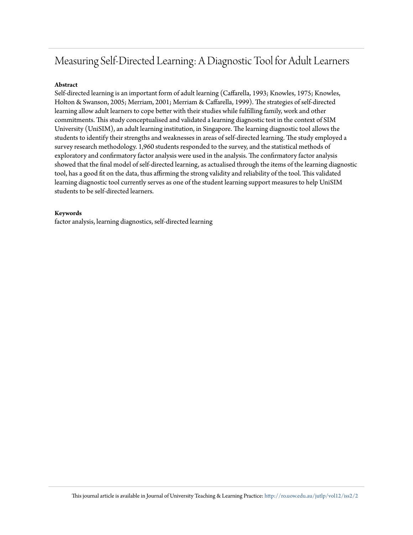## Measuring Self-Directed Learning: A Diagnostic Tool for Adult Learners

#### **Abstract**

Self-directed learning is an important form of adult learning (Caffarella, 1993; Knowles, 1975; Knowles, Holton & Swanson, 2005; Merriam, 2001; Merriam & Caffarella, 1999). The strategies of self-directed learning allow adult learners to cope better with their studies while fulfilling family, work and other commitments. This study conceptualised and validated a learning diagnostic test in the context of SIM University (UniSIM), an adult learning institution, in Singapore. The learning diagnostic tool allows the students to identify their strengths and weaknesses in areas of self-directed learning. The study employed a survey research methodology. 1,960 students responded to the survey, and the statistical methods of exploratory and confirmatory factor analysis were used in the analysis. The confirmatory factor analysis showed that the final model of self-directed learning, as actualised through the items of the learning diagnostic tool, has a good fit on the data, thus affirming the strong validity and reliability of the tool. This validated learning diagnostic tool currently serves as one of the student learning support measures to help UniSIM students to be self-directed learners.

#### **Keywords**

factor analysis, learning diagnostics, self-directed learning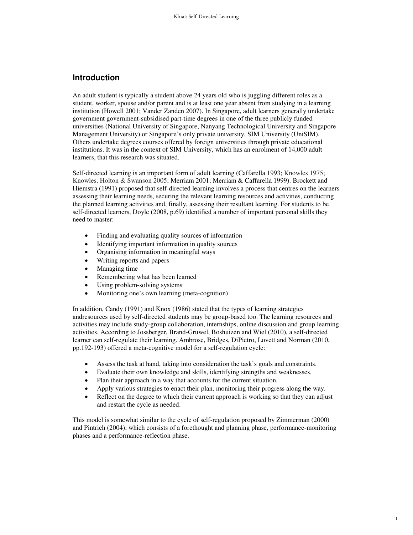## **Introduction**

An adult student is typically a student above 24 years old who is juggling different roles as a student, worker, spouse and/or parent and is at least one year absent from studying in a learning institution (Howell 2001; Vander Zanden 2007). In Singapore, adult learners generally undertake government government-subsidised part-time degrees in one of the three publicly funded universities (National University of Singapore, Nanyang Technological University and Singapore Management University) or Singapore's only private university, SIM University (UniSIM). Others undertake degrees courses offered by foreign universities through private educational institutions. It was in the context of SIM University, which has an enrolment of 14,000 adult learners, that this research was situated.

Self-directed learning is an important form of adult learning (Caffarella 1993; Knowles 1975; Knowles, Holton & Swanson 2005; Merriam 2001; Merriam & Caffarella 1999). Brockett and Hiemstra (1991) proposed that self-directed learning involves a process that centres on the learners assessing their learning needs, securing the relevant learning resources and activities, conducting the planned learning activities and, finally, assessing their resultant learning. For students to be self-directed learners, Doyle (2008, p.69) identified a number of important personal skills they need to master:

- Finding and evaluating quality sources of information
- Identifying important information in quality sources
- Organising information in meaningful ways
- Writing reports and papers
- Managing time
- Remembering what has been learned
- Using problem-solving systems
- Monitoring one's own learning (meta-cognition)

In addition, Candy (1991) and Knox (1986) stated that the types of learning strategies andresources used by self-directed students may be group-based too. The learning resources and activities may include study-group collaboration, internships, online discussion and group learning activities. According to Jossberger, Brand-Gruwel, Boshuizen and Wiel (2010), a self-directed learner can self-regulate their learning. Ambrose, Bridges, DiPietro, Lovett and Norman (2010, pp.192-193) offered a meta-cognitive model for a self-regulation cycle:

- Assess the task at hand, taking into consideration the task's goals and constraints.
- Evaluate their own knowledge and skills, identifying strengths and weaknesses.
- Plan their approach in a way that accounts for the current situation.
- Apply various strategies to enact their plan, monitoring their progress along the way.
- Reflect on the degree to which their current approach is working so that they can adjust and restart the cycle as needed.

This model is somewhat similar to the cycle of self-regulation proposed by Zimmerman (2000) and Pintrich (2004), which consists of a forethought and planning phase, performance-monitoring phases and a performance-reflection phase.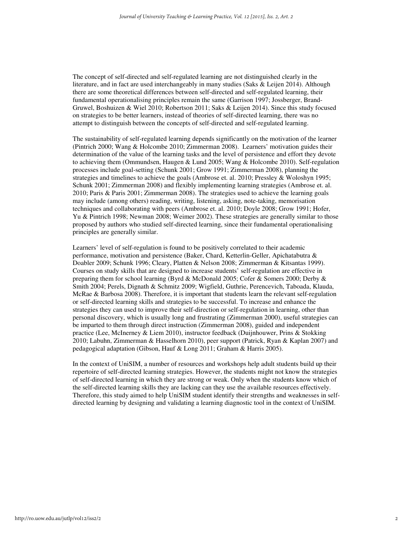The concept of self-directed and self-regulated learning are not distinguished clearly in the literature, and in fact are used interchangeably in many studies (Saks & Leijen 2014). Although there are some theoretical differences between self-directed and self-regulated learning, their fundamental operationalising principles remain the same (Garrison 1997; Jossberger, Brand-Gruwel, Boshuizen & Wiel 2010; Robertson 2011; Saks & Leijen 2014). Since this study focused on strategies to be better learners, instead of theories of self-directed learning, there was no attempt to distinguish between the concepts of self-directed and self-regulated learning.

The sustainability of self-regulated learning depends significantly on the motivation of the learner (Pintrich 2000; Wang & Holcombe 2010; Zimmerman 2008). Learners' motivation guides their determination of the value of the learning tasks and the level of persistence and effort they devote to achieving them (Ommundsen, Haugen & Lund 2005; Wang & Holcombe 2010). Self-regulation processes include goal-setting (Schunk 2001; Grow 1991; Zimmerman 2008), planning the strategies and timelines to achieve the goals (Ambrose et. al. 2010; Pressley & Woloshyn 1995; Schunk 2001; Zimmerman 2008) and flexibly implementing learning strategies (Ambrose et. al. 2010; Paris & Paris 2001; Zimmerman 2008). The strategies used to achieve the learning goals may include (among others) reading, writing, listening, asking, note-taking, memorisation techniques and collaborating with peers (Ambrose et. al. 2010; Doyle 2008; Grow 1991; Hofer, Yu & Pintrich 1998; Newman 2008; Weimer 2002). These strategies are generally similar to those proposed by authors who studied self-directed learning, since their fundamental operationalising principles are generally similar.

Learners' level of self-regulation is found to be positively correlated to their academic performance, motivation and persistence (Baker, Chard, Ketterlin-Geller, Apichatabutra & Doabler 2009; Schunk 1996; Cleary, Platten & Nelson 2008; Zimmerman & Kitsantas 1999). Courses on study skills that are designed to increase students' self-regulation are effective in preparing them for school learning (Byrd & McDonald 2005; Cofer & Somers 2000; Derby & Smith 2004; Perels, Dignath & Schmitz 2009; Wigfield, Guthrie, Perencevich, Taboada, Klauda, McRae & Barbosa 2008). Therefore, it is important that students learn the relevant self-regulation or self-directed learning skills and strategies to be successful. To increase and enhance the strategies they can used to improve their self-direction or self-regulation in learning, other than personal discovery, which is usually long and frustrating (Zimmerman 2000), useful strategies can be imparted to them through direct instruction (Zimmerman 2008), guided and independent practice (Lee, McInerney & Liem 2010), instructor feedback (Duijnhouwer, Prins & Stokking 2010; Labuhn, Zimmerman & Hasselhorn 2010), peer support (Patrick, Ryan & Kaplan 2007) and pedagogical adaptation (Gibson, Hauf & Long 2011; Graham & Harris 2005).

In the context of UniSIM, a number of resources and workshops help adult students build up their repertoire of self-directed learning strategies. However, the students might not know the strategies of self-directed learning in which they are strong or weak. Only when the students know which of the self-directed learning skills they are lacking can they use the available resources effectively. Therefore, this study aimed to help UniSIM student identify their strengths and weaknesses in selfdirected learning by designing and validating a learning diagnostic tool in the context of UniSIM.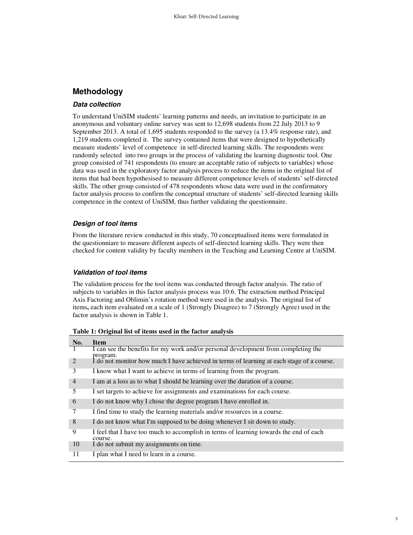## **Methodology**

#### **Data collection**

To understand UniSIM students' learning patterns and needs, an invitation to participate in an anonymous and voluntary online survey was sent to 12,698 students from 22 July 2013 to 9 September 2013. A total of 1,695 students responded to the survey (a 13.4% response rate), and 1,219 students completed it. The survey contained items that were designed to hypothetically measure students' level of competence in self-directed learning skills. The respondents were randomly selected into two groups in the process of validating the learning diagnostic tool. One group consisted of 741 respondents (to ensure an acceptable ratio of subjects to variables) whose data was used in the exploratory factor analysis process to reduce the items in the original list of items that had been hypothesised to measure different competence levels of students' self-directed skills. The other group consisted of 478 respondents whose data were used in the confirmatory factor analysis process to confirm the conceptual structure of students' self-directed learning skills competence in the context of UniSIM, thus further validating the questionnaire.

#### **Design of tool items**

From the literature review conducted in this study, 70 conceptualised items were formulated in the questionniare to measure different aspects of self-directed learning skills. They were then checked for content validity by faculty members in the Teaching and Learning Centre at UniSIM.

#### **Validation of tool items**

The validation process for the tool items was conducted through factor analysis. The ratio of subjects to variables in this factor analysis process was 10:6. The extraction method Principal Axis Factoring and Oblimin's rotation method were used in the analysis. The original list of items**,** each item evaluated on a scale of 1 (Strongly Disagree) to 7 (Strongly Agree) used in the factor analysis is shown in Table 1.

| No.                         | <b>Item</b>                                                                                       |
|-----------------------------|---------------------------------------------------------------------------------------------------|
| $\mathbf{I}$                | I can see the benefits for my work and/or personal development from completing the<br>program.    |
| $\mathcal{D}_{\mathcal{L}}$ | I do not monitor how much I have achieved in terms of learning at each stage of a course.         |
| 3                           | I know what I want to achieve in terms of learning from the program.                              |
| $\overline{4}$              | I am at a loss as to what I should be learning over the duration of a course.                     |
| 5                           | I set targets to achieve for assignments and examinations for each course.                        |
| 6                           | I do not know why I chose the degree program I have enrolled in.                                  |
| 7                           | I find time to study the learning materials and/or resources in a course.                         |
| 8                           | I do not know what I'm supposed to be doing whenever I sit down to study.                         |
| 9                           | I feel that I have too much to accomplish in terms of learning towards the end of each<br>course. |
| 10                          | I do not submit my assignments on time.                                                           |
| 11                          | I plan what I need to learn in a course.                                                          |

**Table 1: Original list of items used in the factor analysis**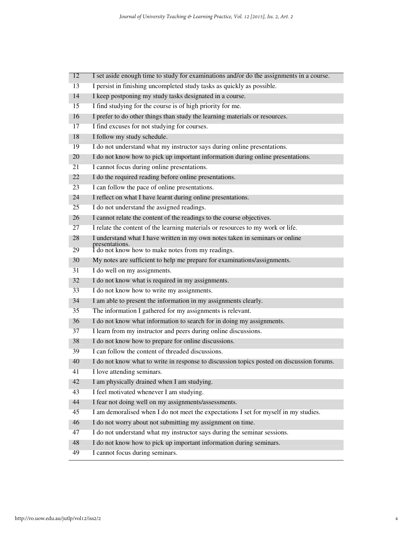| 12 | I set aside enough time to study for examinations and/or do the assignments in a course.  |
|----|-------------------------------------------------------------------------------------------|
| 13 | I persist in finishing uncompleted study tasks as quickly as possible.                    |
| 14 | I keep postponing my study tasks designated in a course.                                  |
| 15 | I find studying for the course is of high priority for me.                                |
| 16 | I prefer to do other things than study the learning materials or resources.               |
| 17 | I find excuses for not studying for courses.                                              |
| 18 | I follow my study schedule.                                                               |
| 19 | I do not understand what my instructor says during online presentations.                  |
| 20 | I do not know how to pick up important information during online presentations.           |
| 21 | I cannot focus during online presentations.                                               |
| 22 | I do the required reading before online presentations.                                    |
| 23 | I can follow the pace of online presentations.                                            |
| 24 | I reflect on what I have learnt during online presentations.                              |
| 25 | I do not understand the assigned readings.                                                |
| 26 | I cannot relate the content of the readings to the course objectives.                     |
| 27 | I relate the content of the learning materials or resources to my work or life.           |
| 28 | I understand what I have written in my own notes taken in seminars or online              |
| 29 | presentations.<br>I do not know how to make notes from my readings.                       |
| 30 | My notes are sufficient to help me prepare for examinations/assignments.                  |
| 31 | I do well on my assignments.                                                              |
| 32 | I do not know what is required in my assignments.                                         |
| 33 | I do not know how to write my assignments.                                                |
| 34 | I am able to present the information in my assignments clearly.                           |
| 35 | The information I gathered for my assignments is relevant.                                |
| 36 | I do not know what information to search for in doing my assignments.                     |
| 37 | I learn from my instructor and peers during online discussions.                           |
| 38 | I do not know how to prepare for online discussions.                                      |
| 39 | I can follow the content of threaded discussions.                                         |
| 40 | I do not know what to write in response to discussion topics posted on discussion forums. |
| 41 | I love attending seminars.                                                                |
| 42 | I am physically drained when I am studying.                                               |
| 43 | I feel motivated whenever I am studying.                                                  |
| 44 | I fear not doing well on my assignments/assessments.                                      |
| 45 | I am demoralised when I do not meet the expectations I set for myself in my studies.      |
| 46 | I do not worry about not submitting my assignment on time.                                |
| 47 | I do not understand what my instructor says during the seminar sessions.                  |
| 48 | I do not know how to pick up important information during seminars.                       |
| 49 | I cannot focus during seminars.                                                           |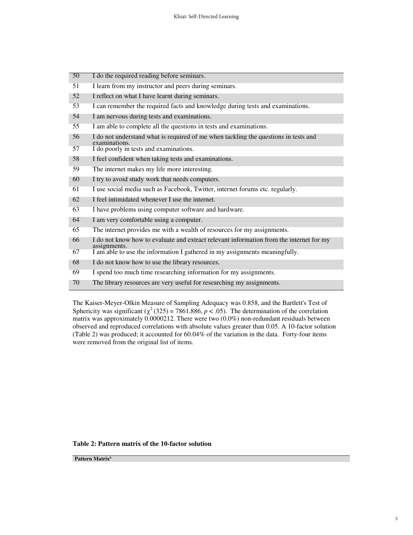| 50 | I do the required reading before seminars.                                                              |
|----|---------------------------------------------------------------------------------------------------------|
| 51 | I learn from my instructor and peers during seminars.                                                   |
| 52 | I reflect on what I have learnt during seminars.                                                        |
| 53 | I can remember the required facts and knowledge during tests and examinations.                          |
| 54 | I am nervous during tests and examinations.                                                             |
| 55 | I am able to complete all the questions in tests and examinations.                                      |
| 56 | I do not understand what is required of me when tackling the questions in tests and<br>examinations.    |
| 57 | I do poorly in tests and examinations.                                                                  |
| 58 | I feel confident when taking tests and examinations.                                                    |
| 59 | The internet makes my life more interesting.                                                            |
| 60 | I try to avoid study work that needs computers.                                                         |
| 61 | I use social media such as Facebook, Twitter, internet forums etc. regularly.                           |
| 62 | I feel intimidated whenever I use the internet.                                                         |
| 63 | I have problems using computer software and hardware.                                                   |
| 64 | I am very comfortable using a computer.                                                                 |
| 65 | The internet provides me with a wealth of resources for my assignments.                                 |
| 66 | I do not know how to evaluate and extract relevant information from the internet for my<br>assignments. |
| 67 | I am able to use the information I gathered in my assignments meaningfully.                             |
| 68 | I do not know how to use the library resources.                                                         |
| 69 | I spend too much time researching information for my assignments.                                       |
| 70 | The library resources are very useful for researching my assignments.                                   |

The Kaiser-Meyer-Olkin Measure of Sampling Adequacy was 0.858, and the Bartlett's Test of Sphericity was significant ( $\chi^2$  (325) = 7861.886, *p* < .05). The determination of the correlation matrix was approximately 0.0000212. There were two (0.0%) non-redundant residuals between observed and reproduced correlations with absolute values greater than 0.05. A 10-factor solution (Table 2) was produced; it accounted for 60.04% of the variation in the data. Forty-four items were removed from the original list of items.

#### **Table 2: Pattern matrix of the 10-factor solution**

**Pattern Matrix<sup>a</sup>**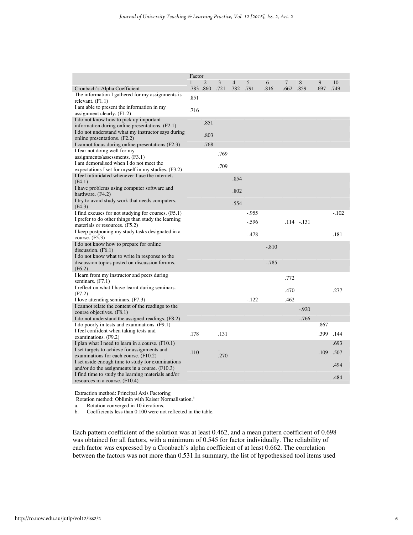|                                                     | Factor       |                |      |                |         |          |      |               |      |         |
|-----------------------------------------------------|--------------|----------------|------|----------------|---------|----------|------|---------------|------|---------|
|                                                     | $\mathbf{1}$ | $\overline{2}$ | 3    | $\overline{4}$ | 5       | 6        | 7    | 8             | 9    | 10      |
| Cronbach's Alpha Coefficient                        |              | .783 .860      | .721 | .782           | .791    | .816     | .662 | .859          | .697 | .749    |
| The information I gathered for my assignments is    | .851         |                |      |                |         |          |      |               |      |         |
| relevant. $(F1.1)$                                  |              |                |      |                |         |          |      |               |      |         |
| I am able to present the information in my          |              |                |      |                |         |          |      |               |      |         |
| assignment clearly. (F1.2)                          | .716         |                |      |                |         |          |      |               |      |         |
| I do not know how to pick up important              |              | .851           |      |                |         |          |      |               |      |         |
| information during online presentations. (F2.1)     |              |                |      |                |         |          |      |               |      |         |
| I do not understand what my instructor says during  |              |                |      |                |         |          |      |               |      |         |
| online presentations. (F2.2)                        |              | .803           |      |                |         |          |      |               |      |         |
| I cannot focus during online presentations (F2.3)   |              | .768           |      |                |         |          |      |               |      |         |
| I fear not doing well for my                        |              |                | .769 |                |         |          |      |               |      |         |
| assigmments/assessments. (F3.1)                     |              |                |      |                |         |          |      |               |      |         |
| I am demoralised when I do not meet the             |              |                | .709 |                |         |          |      |               |      |         |
| expectations I set for myself in my studies. (F3.2) |              |                |      |                |         |          |      |               |      |         |
| I feel intimidated whenever I use the internet.     |              |                |      | .854           |         |          |      |               |      |         |
| (F4.1)                                              |              |                |      |                |         |          |      |               |      |         |
| I have problems using computer software and         |              |                |      | .802           |         |          |      |               |      |         |
| hardware. (F4.2)                                    |              |                |      |                |         |          |      |               |      |         |
| I try to avoid study work that needs computers.     |              |                |      | .554           |         |          |      |               |      |         |
| (F4.3)                                              |              |                |      |                |         |          |      |               |      |         |
| I find excuses for not studying for courses. (F5.1) |              |                |      |                | $-955$  |          |      |               |      | $-.102$ |
| I prefer to do other things than study the learning |              |                |      |                | $-.596$ |          |      | $.114 - .131$ |      |         |
| materials or resources. (F5.2)                      |              |                |      |                |         |          |      |               |      |         |
| I keep postponing my study tasks designated in a    |              |                |      |                | $-.478$ |          |      |               |      | .181    |
| course. $(F5.3)$                                    |              |                |      |                |         |          |      |               |      |         |
| I do not know how to prepare for online             |              |                |      |                |         | $-.810$  |      |               |      |         |
| discussion. (F6.1)                                  |              |                |      |                |         |          |      |               |      |         |
| I do not know what to write in response to the      |              |                |      |                |         |          |      |               |      |         |
| discussion topics posted on discussion forums.      |              |                |      |                |         | $-0.785$ |      |               |      |         |
| (F6.2)                                              |              |                |      |                |         |          |      |               |      |         |
| I learn from my instructor and peers during         |              |                |      |                |         |          | .772 |               |      |         |
| seminars. (F7.1)                                    |              |                |      |                |         |          |      |               |      |         |
| I reflect on what I have learnt during seminars.    |              |                |      |                |         |          | .470 |               |      | .277    |
| (F7.2)                                              |              |                |      |                |         |          |      |               |      |         |
| I love attending seminars. (F7.3)                   |              |                |      |                | $-.122$ |          | .462 |               |      |         |
| I cannot relate the content of the readings to the  |              |                |      |                |         |          |      | $-0.920$      |      |         |
| course objectives. (F8.1)                           |              |                |      |                |         |          |      |               |      |         |
| I do not understand the assigned readings. (F8.2)   |              |                |      |                |         |          |      | $-766$        |      |         |
| I do poorly in tests and examinations. (F9.1)       |              |                |      |                |         |          |      |               | .867 |         |
| I feel confident when taking tests and              | .178         |                | .131 |                |         |          |      |               | .399 | .144    |
| examinations. (F9.2)                                |              |                |      |                |         |          |      |               |      |         |
| I plan what I need to learn in a course. (F10.1)    |              |                |      |                |         |          |      |               |      | .693    |
| I set targets to achieve for assignments and        | .110         |                |      |                |         |          |      |               | .109 | .507    |
| examinations for each course. (F10.2)               |              |                | .270 |                |         |          |      |               |      |         |
| I set aside enough time to study for examinations   |              |                |      |                |         |          |      |               |      | .494    |
| and/or do the assignments in a course. (F10.3)      |              |                |      |                |         |          |      |               |      |         |
| I find time to study the learning materials and/or  |              |                |      |                |         |          |      |               |      | .484    |
| resources in a course. (F10.4)                      |              |                |      |                |         |          |      |               |      |         |

Extraction method: Principal Axis Factoring

Rotation method: Oblimin with Kaiser Normalisation.<sup>a</sup>

a. Rotation converged in 10 iterations.<br>b. Coefficients less than 0.100 were no

Coefficients less than 0.100 were not reflected in the table.

Each pattern coefficient of the solution was at least 0.462, and a mean pattern coefficient of 0.698 was obtained for all factors, with a minimum of 0.545 for factor individually. The reliability of each factor was expressed by a Cronbach's alpha coefficient of at least 0.662. The correlation between the factors was not more than 0.531.In summary, the list of hypothesised tool items used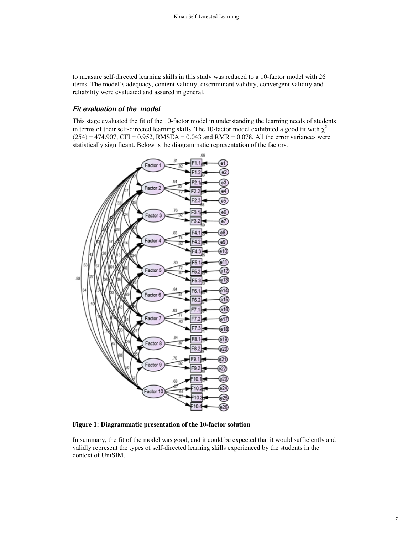to measure self-directed learning skills in this study was reduced to a 10-factor model with 26 items. The model's adequacy, content validity, discriminant validity, convergent validity and reliability were evaluated and assured in general.

#### **Fit evaluation of the model**

This stage evaluated the fit of the 10-factor model in understanding the learning needs of students in terms of their self-directed learning skills. The 10-factor model exihibited a good fit with  $\chi^2$  $(254) = 474.907$ , CFI = 0.952, RMSEA = 0.043 and RMR = 0.078. All the error variances were statistically significant. Below is the diagrammatic representation of the factors.



**Figure 1: Diagrammatic presentation of the 10-factor solution** 

In summary, the fit of the model was good, and it could be expected that it would sufficiently and validly represent the types of self-directed learning skills experienced by the students in the context of UniSIM.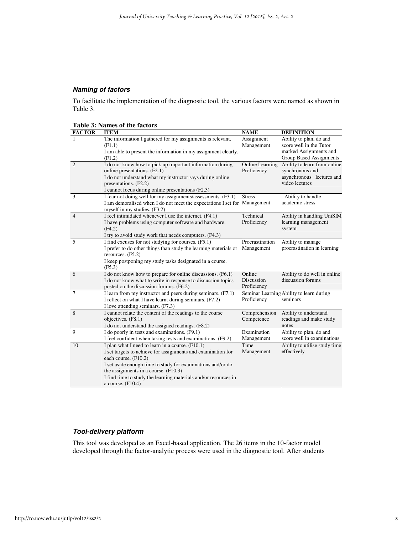## **Naming of factors**

To facilitate the implementation of the diagnostic tool, the various factors were named as shown in Table 3.

**Table 3: Names of the factors** 

| <b>FACTOR</b>  | <b>ITEM</b>                                                                           | <b>NAME</b>     | <b>DEFINITION</b>                        |
|----------------|---------------------------------------------------------------------------------------|-----------------|------------------------------------------|
|                | The information I gathered for my assignments is relevant.                            | Assignment      | Ability to plan, do and                  |
|                | (F1.1)                                                                                | Management      | score well in the Tutor                  |
|                | I am able to present the information in my assignment clearly.                        |                 | marked Assignments and                   |
|                | (F1.2)                                                                                |                 | Group Based Assignments                  |
| 2              | I do not know how to pick up important information during                             | Online Learning | Ability to learn from online             |
|                | online presentations. (F2.1)                                                          | Proficiency     | synchronous and                          |
|                | I do not understand what my instructor says during online                             |                 | asynchronous lectures and                |
|                | presentations. (F2.2)                                                                 |                 | video lectures                           |
|                | I cannot focus during online presentations (F2.3)                                     |                 |                                          |
| 3              | I fear not doing well for my assignments/assessments. (F3.1)                          | <b>Stress</b>   | Ability to handle                        |
|                | I am demoralised when I do not meet the expectations I set for Management             |                 | academic stress                          |
|                | myself in my studies. (F3.2)                                                          |                 |                                          |
| $\overline{4}$ | I feel intimidated whenever I use the internet. (F4.1)                                | Technical       | Ability in handling UniSIM               |
|                | I have problems using computer software and hardware.                                 | Proficiency     | learning management                      |
|                | (F4.2)                                                                                |                 | system                                   |
|                | I try to avoid study work that needs computers. (F4.3)                                |                 |                                          |
| 5              | I find excuses for not studying for courses. (F5.1)                                   | Procrastination | Ability to manage                        |
|                | I prefer to do other things than study the learning materials or<br>resources. (F5.2) | Management      | procrastination in learning              |
|                | I keep postponing my study tasks designated in a course.<br>(F5.3)                    |                 |                                          |
| 6              | I do not know how to prepare for online discussions. (F6.1)                           | Online          | Ability to do well in online             |
|                | I do not know what to write in response to discussion topics                          | Discussion      | discussion forums                        |
|                | posted on the discussion forums. (F6.2)                                               | Proficiency     |                                          |
| $\overline{7}$ | I learn from my instructor and peers during seminars. (F7.1)                          |                 | Seminar Learning Ability to learn during |
|                | I reflect on what I have learnt during seminars. (F7.2)                               | Proficiency     | seminars                                 |
|                | I love attending seminars. (F7.3)                                                     |                 |                                          |
| 8              | I cannot relate the content of the readings to the course                             | Comprehension   | Ability to understand                    |
|                | objectives. (F8.1)                                                                    | Competence      | readings and make study                  |
|                | I do not understand the assigned readings. (F8.2)                                     |                 | notes                                    |
| $\mathbf{Q}$   | I do poorly in tests and examinations. (F9.1)                                         | Examination     | Ability to plan, do and                  |
|                | I feel confident when taking tests and examinations. (F9.2)                           | Management      | score well in examinations               |
| 10             | I plan what I need to learn in a course. $(F10.1)$                                    | Time            | Ability to utilise study time            |
|                | I set targets to achieve for assignments and examination for                          | Management      | effectively                              |
|                | each course. (F10.2)                                                                  |                 |                                          |
|                | I set aside enough time to study for examinations and/or do                           |                 |                                          |
|                | the assignments in a course. $(F10.3)$                                                |                 |                                          |
|                | I find time to study the learning materials and/or resources in                       |                 |                                          |
|                | a course. $(F10.4)$                                                                   |                 |                                          |

### **Tool-delivery platform**

This tool was developed as an Excel-based application. The 26 items in the 10-factor model developed through the factor-analytic process were used in the diagnostic tool. After students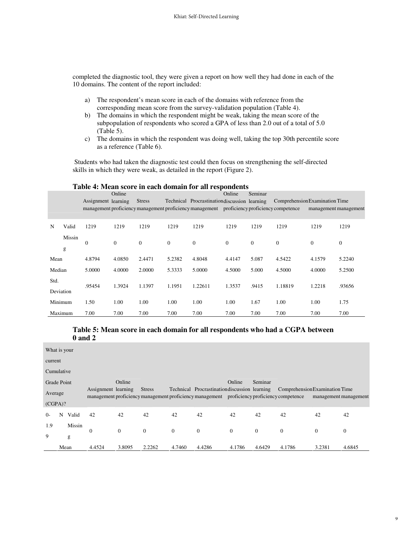completed the diagnostic tool, they were given a report on how well they had done in each of the 10 domains. The content of the report included:

- a) The respondent's mean score in each of the domains with reference from the corresponding mean score from the survey-validation population (Table 4).
- b) The domains in which the respondent might be weak, taking the mean score of the subpopulation of respondents who scored a GPA of less than 2.0 out of a total of 5.0 (Table 5).
- c) The domains in which the respondent was doing well, taking the top 30th percentile score as a reference (Table 6).

 Students who had taken the diagnostic test could then focus on strengthening the self-directed skills in which they were weak, as detailed in the report (Figure 2).

|        | Table 4: Mean score in each domain for an respondents |                     |          |               |              |                                                                                             |              |          |                                |              |                       |  |
|--------|-------------------------------------------------------|---------------------|----------|---------------|--------------|---------------------------------------------------------------------------------------------|--------------|----------|--------------------------------|--------------|-----------------------|--|
|        |                                                       |                     | Online   |               |              |                                                                                             | Online       | Seminar  |                                |              |                       |  |
|        |                                                       | Assignment learning |          | <b>Stress</b> |              | Technical Procrastination discussion learning                                               |              |          | Comprehension Examination Time |              |                       |  |
|        |                                                       |                     |          |               |              | management proficiency management proficiency management proficiency proficiency competence |              |          |                                |              | management management |  |
|        |                                                       |                     |          |               |              |                                                                                             |              |          |                                |              |                       |  |
| N      | Valid                                                 | 1219                | 1219     | 1219          | 1219         | 1219                                                                                        | 1219         | 1219     | 1219                           | 1219         | 1219                  |  |
|        | Missin                                                | $\mathbf{0}$        | $\Omega$ | $\Omega$      | $\mathbf{0}$ | $\boldsymbol{0}$                                                                            | $\mathbf{0}$ | $\theta$ | $\theta$                       | $\mathbf{0}$ | $\mathbf{0}$          |  |
|        | g                                                     |                     |          |               |              |                                                                                             |              |          |                                |              |                       |  |
| Mean   |                                                       | 4.8794              | 4.0850   | 2.4471        | 5.2382       | 4.8048                                                                                      | 4.4147       | 5.087    | 4.5422                         | 4.1579       | 5.2240                |  |
| Median |                                                       | 5.0000              | 4.0000   | 2.0000        | 5.3333       | 5.0000                                                                                      | 4.5000       | 5.000    | 4.5000                         | 4.0000       | 5.2500                |  |
| Std.   |                                                       | .95454              | 1.3924   | 1.1397        | 1.1951       | 1.22611                                                                                     | 1.3537       | .9415    | 1.18819                        | 1.2218       | .93656                |  |
|        | Deviation                                             |                     |          |               |              |                                                                                             |              |          |                                |              |                       |  |
|        | Minimum                                               | 1.50                | 1.00     | 1.00          | 1.00         | 1.00                                                                                        | 1.00         | 1.67     | 1.00                           | 1.00         | 1.75                  |  |
|        | Maximum                                               | 7.00                | 7.00     | 7.00          | 7.00         | 7.00                                                                                        | 7.00         | 7.00     | 7.00                           | 7.00         | 7.00                  |  |

## **Table 4: Mean score in each domain for all respondents**

#### **Table 5: Mean score in each domain for all respondents who had a CGPA between 0 and 2**

| What is your |      |        |                     |          |               |          |                                                                                                                                              |                |          |                                |                       |        |
|--------------|------|--------|---------------------|----------|---------------|----------|----------------------------------------------------------------------------------------------------------------------------------------------|----------------|----------|--------------------------------|-----------------------|--------|
| current      |      |        |                     |          |               |          |                                                                                                                                              |                |          |                                |                       |        |
| Cumulative   |      |        |                     |          |               |          |                                                                                                                                              |                |          |                                |                       |        |
| Grade Point  |      |        |                     | Online   |               |          |                                                                                                                                              | Online         | Seminar  |                                |                       |        |
| Average      |      |        | Assignment learning |          | <b>Stress</b> |          | Technical Procrastination discussion learning<br>management proficiency management proficiency management proficiency proficiency competence |                |          | Comprehension Examination Time | management management |        |
| (CGPA)?      |      |        |                     |          |               |          |                                                                                                                                              |                |          |                                |                       |        |
| $0-$         | N    | Valid  | 42                  | 42       | 42            | 42       | 42                                                                                                                                           | 42             | 42       | 42                             | 42                    | 42     |
| 1.9          |      | Missin | $\mathbf{0}$        | $\theta$ | $\theta$      | $\theta$ | $\mathbf{0}$                                                                                                                                 | $\overline{0}$ | $\theta$ | $\mathbf{0}$                   | $\overline{0}$        | 0      |
| 9            |      | g      |                     |          |               |          |                                                                                                                                              |                |          |                                |                       |        |
|              | Mean |        | 4.4524              | 3.8095   | 2.2262        | 4.7460   | 4.4286                                                                                                                                       | 4.1786         | 4.6429   | 4.1786                         | 3.2381                | 4.6845 |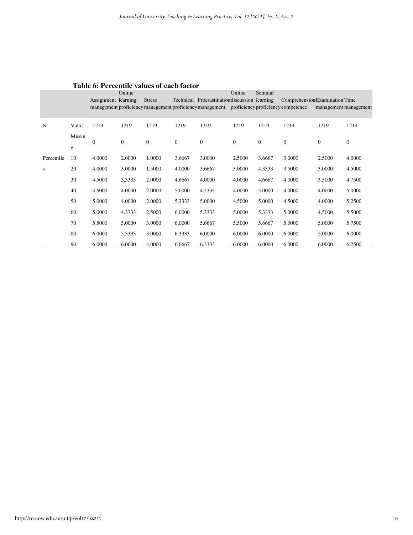|            |        |                     | Online       |                  |                  |                                                                                             | Online       | Seminar  |                                |                       |                  |
|------------|--------|---------------------|--------------|------------------|------------------|---------------------------------------------------------------------------------------------|--------------|----------|--------------------------------|-----------------------|------------------|
|            |        | Assignment learning |              | <b>Stress</b>    |                  | Technical Procrastination discussion learning                                               |              |          | Comprehension Examination Time |                       |                  |
|            |        |                     |              |                  |                  | management proficiency management proficiency management proficiency proficiency competence |              |          |                                | management management |                  |
|            |        |                     |              |                  |                  |                                                                                             |              |          |                                |                       |                  |
| N          | Valid  | 1219                | 1219         | 1219             | 1219             | 1219                                                                                        | 1219         | 1219     | 1219                           | 1219                  | 1219             |
|            | Missin | $\mathbf{0}$        | $\mathbf{0}$ | $\boldsymbol{0}$ | $\boldsymbol{0}$ | $\mathbf{0}$                                                                                | $\mathbf{0}$ | $\theta$ | $\mathbf{0}$                   | $\mathbf{0}$          | $\boldsymbol{0}$ |
|            | g      |                     |              |                  |                  |                                                                                             |              |          |                                |                       |                  |
| Percentile | 10     | 4.0000              | 2.0000       | 1.0000           | 3.6667           | 3.0000                                                                                      | 2.5000       | 3.6667   | 3.0000                         | 2.5000                | 4.0000           |
| S          | 20     | 4.0000              | 3.0000       | 1.5000           | 4.0000           | 3.6667                                                                                      | 3.0000       | 4.3333   | 3.5000                         | 3.0000                | 4.5000           |
|            | 30     | 4.5000              | 3.3333       | 2.0000           | 4.6667           | 4.0000                                                                                      | 4.0000       | 4.6667   | 4.0000                         | 3.5000                | 4.7500           |
|            | 40     | 4.5000              | 4.0000       | 2.0000           | 5.0000           | 4.3333                                                                                      | 4.0000       | 5.0000   | 4.0000                         | 4.0000                | 5.0000           |
|            | 50     | 5.0000              | 4.0000       | 2.0000           | 5.3333           | 5.0000                                                                                      | 4.5000       | 5.0000   | 4.5000                         | 4.0000                | 5.2500           |
|            | 60     | 5.0000              | 4.3333       | 2.5000           | 6.0000           | 5.3333                                                                                      | 5.0000       | 5.3333   | 5.0000                         | 4.5000                | 5.5000           |
|            | 70     | 5.5000              | 5.0000       | 3.0000           | 6.0000           | 5.6667                                                                                      | 5.5000       | 5.6667   | 5.0000                         | 5.0000                | 5.7500           |
|            | 80     | 6.0000              | 5.3333       | 3.0000           | 6.3333           | 6.0000                                                                                      | 6.0000       | 6.0000   | 6.0000                         | 5.0000                | 6.0000           |
|            | 90     | 6.0000              | 6.0000       | 4.0000           | 6.6667           | 6.3333                                                                                      | 6.0000       | 6.0000   | 6.0000                         | 6.0000                | 6.2500           |

## **Table 6: Percentile values of each factor**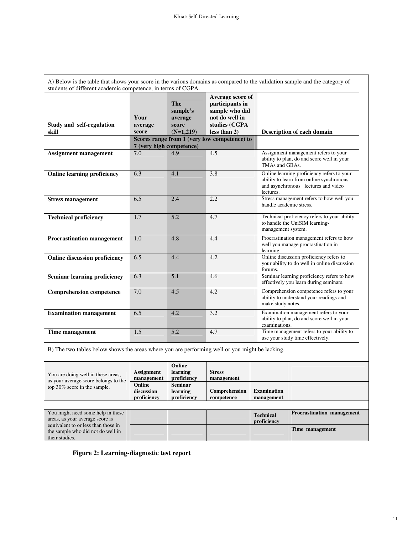| students of different academic competence, in terms of CGPA.<br>Average score of |                          |                                   |                                                     |                                                                                                                                            |  |  |  |  |  |  |
|----------------------------------------------------------------------------------|--------------------------|-----------------------------------|-----------------------------------------------------|--------------------------------------------------------------------------------------------------------------------------------------------|--|--|--|--|--|--|
|                                                                                  | Your                     | <b>The</b><br>sample's<br>average | participants in<br>sample who did<br>not do well in |                                                                                                                                            |  |  |  |  |  |  |
| Study and self-regulation                                                        | average                  | score                             | studies (CGPA                                       |                                                                                                                                            |  |  |  |  |  |  |
| skill                                                                            | score                    | $(N=1,219)$                       | less than 2)                                        | Description of each domain                                                                                                                 |  |  |  |  |  |  |
|                                                                                  | 7 (very high competence) |                                   | Scores range from 1 (very low competence) to        |                                                                                                                                            |  |  |  |  |  |  |
| Assignment management                                                            | 7.0                      | 4.9                               | 4.5                                                 | Assignment management refers to your<br>ability to plan, do and score well in your<br>TMAs and GBAs.                                       |  |  |  |  |  |  |
| <b>Online learning proficiency</b>                                               | 6.3                      | 4.1                               | 3.8                                                 | Online learning proficiency refers to your<br>ability to learn from online synchronous<br>and asynchronous lectures and video<br>lectures. |  |  |  |  |  |  |
| <b>Stress management</b>                                                         | 6.5                      | 2.4                               | 2.2                                                 | Stress management refers to how well you<br>handle academic stress.                                                                        |  |  |  |  |  |  |
| <b>Technical proficiency</b>                                                     | 1.7                      | 5.2                               | 4.7                                                 | Technical proficiency refers to your ability<br>to handle the UniSIM learning-<br>management system.                                       |  |  |  |  |  |  |
| <b>Procrastination management</b>                                                | 1.0                      | 4.8                               | 4.4                                                 | Procrastination management refers to how<br>well you manage procrastination in<br>learning.                                                |  |  |  |  |  |  |
| <b>Online discussion proficiency</b>                                             | 6.5                      | 4.4                               | 4.2                                                 | Online discussion proficiency refers to<br>your ability to do well in online discussion<br>forums.                                         |  |  |  |  |  |  |
| Seminar learning proficiency                                                     | 6.3                      | 5.1                               | 4.6                                                 | Seminar learning proficiency refers to how<br>effectively you learn during seminars.                                                       |  |  |  |  |  |  |
| <b>Comprehension competence</b>                                                  | 7.0                      | 4.5                               | 4.2                                                 | Comprehension competence refers to your<br>ability to understand your readings and<br>make study notes.                                    |  |  |  |  |  |  |
| <b>Examination management</b>                                                    | 6.5                      | 4.2                               | 3.2                                                 | Examination management refers to your<br>ability to plan, do and score well in your<br>examinations.                                       |  |  |  |  |  |  |
| Time management                                                                  | 1.5                      | 5.2                               | 4.7                                                 | Time management refers to your ability to<br>use your study time effectively.                                                              |  |  |  |  |  |  |

B) The two tables below shows the areas where you are performing well or you might be lacking.

| You are doing well in these areas,<br>as your average score belongs to the                 | <b>Assignment</b><br>management     | Online<br>learning<br>proficiency         | <b>Stress</b><br>management |                                  |                                   |
|--------------------------------------------------------------------------------------------|-------------------------------------|-------------------------------------------|-----------------------------|----------------------------------|-----------------------------------|
| top 30% score in the sample.                                                               | Online<br>discussion<br>proficiency | <b>Seminar</b><br>learning<br>proficiency | Comprehension<br>competence | <b>Examination</b><br>management |                                   |
|                                                                                            |                                     |                                           |                             |                                  |                                   |
| You might need some help in these<br>areas, as your average score is                       |                                     |                                           |                             | <b>Technical</b><br>proficiency  | <b>Procrastination management</b> |
| equivalent to or less than those in<br>the sample who did not do well in<br>their studies. |                                     |                                           |                             |                                  | Time management                   |

**Figure 2: Learning-diagnostic test report**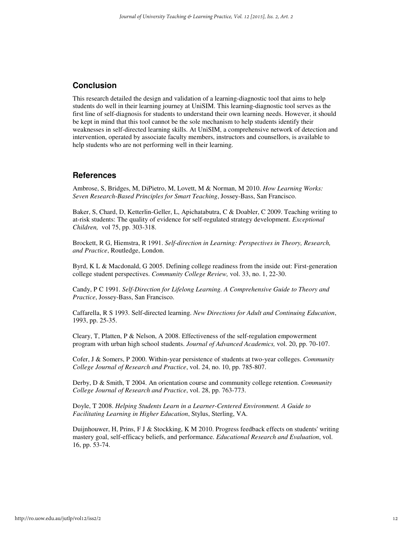## **Conclusion**

This research detailed the design and validation of a learning-diagnostic tool that aims to help students do well in their learning journey at UniSIM. This learning-diagnostic tool serves as the first line of self-diagnosis for students to understand their own learning needs. However, it should be kept in mind that this tool cannot be the sole mechanism to help students identify their weaknesses in self-directed learning skills. At UniSIM, a comprehensive network of detection and intervention, operated by associate faculty members, instructors and counsellors, is available to help students who are not performing well in their learning.

## **References**

Ambrose, S, Bridges, M, DiPietro, M, Lovett, M & Norman, M 2010. *How Learning Works: Seven Research-Based Principles for Smart Teaching*, Jossey-Bass, San Francisco.

Baker, S, Chard, D, Ketterlin-Geller, L, Apichatabutra, C & Doabler, C 2009. Teaching writing to at-risk students: The quality of evidence for self-regulated strategy development. *Exceptional Children,* vol 75, pp. 303-318.

Brockett, R G, Hiemstra, R 1991. *Self-direction in Learning: Perspectives in Theory, Research, and Practice*, Routledge, London.

Byrd, K L & Macdonald, G 2005. Defining college readiness from the inside out: First-generation college student perspectives. *Community College Review,* vol. 33, no. 1, 22-30.

Candy, P C 1991. *Self-Direction for Lifelong Learning. A Comprehensive Guide to Theory and Practice*, Jossey-Bass, San Francisco.

Caffarella, R S 1993. Self-directed learning. *New Directions for Adult and Continuing Education*, 1993, pp. 25-35.

Cleary, T, Platten, P & Nelson, A 2008. Effectiveness of the self-regulation empowerment program with urban high school students. *Journal of Advanced Academics,* vol. 20, pp. 70-107.

Cofer, J & Somers, P 2000. Within-year persistence of students at two-year colleges. *Community College Journal of Research and Practice*, vol. 24, no. 10, pp. 785-807.

Derby, D & Smith, T 2004. An orientation course and community college retention. *Community College Journal of Research and Practice*, vol. 28, pp. 763-773.

Doyle, T 2008. *Helping Students Learn in a Learner-Centered Environment. A Guide to Facilitating Learning in Higher Education*, Stylus, Sterling, VA.

Duijnhouwer, H, Prins, F J & Stockking, K M 2010. Progress feedback effects on students' writing mastery goal, self-efficacy beliefs, and performance. *Educational Research and Evaluation*, vol. 16, pp. 53-74.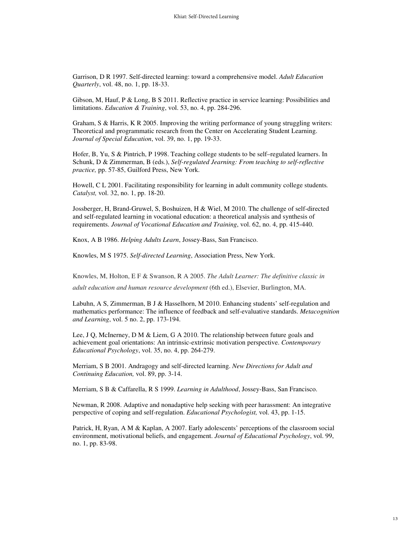Garrison, D R 1997. Self-directed learning: toward a comprehensive model. *Adult Education Quarterly*, vol. 48, no. 1, pp. 18-33.

Gibson, M, Hauf, P & Long, B S 2011. Reflective practice in service learning: Possibilities and limitations. *Education & Training*, vol. 53, no. 4, pp. 284-296.

Graham, S & Harris, K R 2005. Improving the writing performance of young struggling writers: Theoretical and programmatic research from the Center on Accelerating Student Learning. *Journal of Special Education*, vol. 39, no. 1, pp. 19-33.

Hofer, B, Yu, S & Pintrich, P 1998. Teaching college students to be self–regulated learners. In Schunk, D & Zimmerman, B (eds.), *Self-regulated Jearning: From teaching to self-reflective practice,* pp. 57-85, Guilford Press, New York.

Howell, C L 2001. Facilitating responsibility for learning in adult community college students*. Catalyst,* vol. 32, no. 1, pp. 18-20.

Jossberger, H, Brand-Gruwel, S, Boshuizen, H & Wiel, M 2010. The challenge of self-directed and self-regulated learning in vocational education: a theoretical analysis and synthesis of requirements. *Journal of Vocational Education and Training*, vol. 62, no. 4, pp. 415-440.

Knox, A B 1986. *Helping Adults Learn*, Jossey-Bass, San Francisco.

Knowles, M S 1975. *Self-directed Learning*, Association Press, New York.

Knowles, M, Holton, E F & Swanson, R A 2005. *The Adult Learner: The definitive classic in* 

*adult education and human resource development* (6th ed.), Elsevier, Burlington, MA.

Labuhn, A S, Zimmerman, B J & Hasselhorn, M 2010. Enhancing students' self-regulation and mathematics performance: The influence of feedback and self-evaluative standards. *Metacognition and Learning*, vol. 5 no. 2, pp. 173-194.

Lee, J Q, McInerney, D M & Liem, G A 2010. The relationship between future goals and achievement goal orientations: An intrinsic-extrinsic motivation perspective. *Contemporary Educational Psychology*, vol. 35, no. 4, pp. 264-279.

Merriam, S B 2001. Andragogy and self-directed learning. *New Directions for Adult and Continuing Education,* vol. 89, pp. 3-14.

Merriam, S B & Caffarella, R S 1999. *Learning in Adulthood*, Jossey-Bass, San Francisco.

Newman, R 2008. Adaptive and nonadaptive help seeking with peer harassment: An integrative perspective of coping and self-regulation. *Educational Psychologist,* vol. 43, pp. 1-15.

Patrick, H, Ryan, A M & Kaplan, A 2007. Early adolescents' perceptions of the classroom social environment, motivational beliefs, and engagement. *Journal of Educational Psychology*, vol. 99, no. 1, pp. 83-98.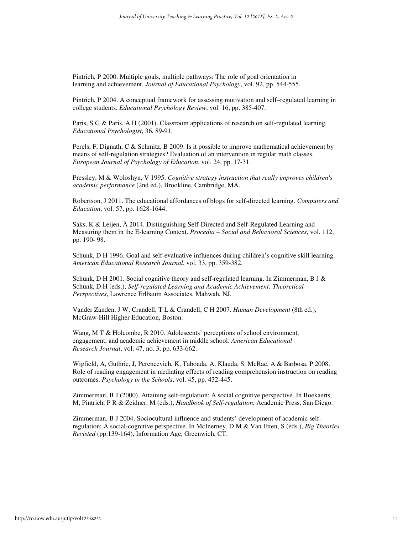Pintrich, P 2000. Multiple goals, multiple pathways: The role of goal orientation in learning and achievement. *Journal of Educational Psychology*, vol. 92, pp. 544-555.

Pintrich, P 2004. A conceptual framework for assessing motivation and self–regulated learning in college students. *Educational Psychology Review*, vol. 16, pp. 385-407.

Paris, S G & Paris, A H (2001). Classroom applications of research on self-regulated learning. *Educational Psychologist*, 36, 89-91.

Perels, F, Dignath, C & Schmitz, B 2009. Is it possible to improve mathematical achievement by means of self-regulation strategies? Evaluation of an intervention in regular math classes. *European Journal of Psychology of Education*, vol. 24, pp. 17-31.

Pressley, M & Woloshyn, V 1995. *Cognitive strategy instruction that really improves children's academic performance* (2nd ed.), Brookline, Cambridge, MA.

Robertson, J 2011. The educational affordances of blogs for self-directed learning. *Computers and Education*, vol. 57, pp. 1628-1644.

Saks, K & Leijen, Ä 2014. Distinguishing Self-Directed and Self-Regulated Learning and Measuring them in the E-learning Context. *Procedia – Social and Behavioral Sciences*, vol. 112, pp. 190- 98.

Schunk, D H 1996. Goal and self-evaluative influences during children's cognitive skill learning. *American Educational Research Journal*, vol. 33, pp. 359-382.

Schunk, D H 2001. Social cognitive theory and self-regulated learning. In Zimmerman, B J & Schunk, D H (eds.), *Self-regulated Learning and Academic Achievement: Theoretical Perspectives*, Lawrence Erlbaum Associates, Mahwah, NJ.

Vander Zanden, J W, Crandell, T L & Crandell, C H 2007. *Human Development* (8th ed.), McGraw-Hill Higher Education, Boston.

Wang, M T & Holcombe, R 2010. Adolescents' perceptions of school environment, engagement, and academic achievement in middle school. *American Educational Research Journal*, vol. 47, no. 3, pp. 633-662.

Wigfield, A, Guthrie, J, Perencevich, K, Taboada, A, Klauda, S, McRae, A & Barbosa, P 2008. Role of reading engagement in mediating effects of reading comprehension instruction on reading outcomes. *Psychology in the Schools*, vol. 45, pp. 432-445.

Zimmerman, B J (2000). Attaining self-regulation: A social cognitive perspective. In Boekaerts, M, Pintrich, P R & Zeidner, M (eds.), *Handbook of Self-regulation*, Academic Press, San Diego.

Zimmerman, B J 2004. Sociocultural influence and students' development of academic selfregulation: A social-cognitive perspective. In McInerney, D M & Van Etten, S (eds.), *Big Theories Revisted* (pp.139-164), Information Age, Greenwich, CT.